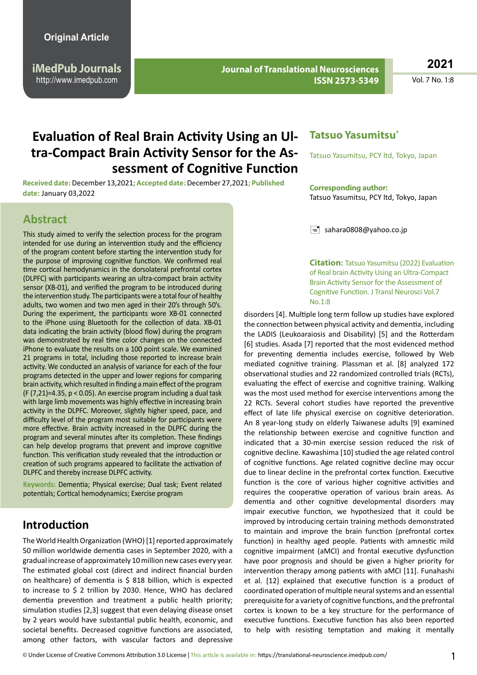**iMedPub Journals** http://www.imedpub.com

**Journal of Translational Neurosciences ISSN 2573-5349**

**2021**

Vol. 7 No. 1:8

# **Evaluation of Real Brain Activity Using an Ultra-Compact Brain Activity Sensor for the Assessment of Cognitive Function**

**Received date:** December 13,2021**; Accepted date:** December 27,2021**; Published date:** January 03,2022

#### **Abstract**

This study aimed to verify the selection process for the program intended for use during an intervention study and the efficiency of the program content before starting the intervention study for the purpose of improving cognitive function. We confirmed real time cortical hemodynamics in the dorsolateral prefrontal cortex (DLPFC) with participants wearing an ultra-compact brain activity sensor (XB-01), and verified the program to be introduced during the intervention study. The participants were a total four of healthy adults, two women and two men aged in their 20's through 50's. During the experiment, the participants wore XB-01 connected to the iPhone using Bluetooth for the collection of data. XB-01 data indicating the brain activity (blood flow) during the program was demonstrated by real time color changes on the connected iPhone to evaluate the results on a 100 point scale. We examined 21 programs in total, including those reported to increase brain activity. We conducted an analysis of variance for each of the four programs detected in the upper and lower regions for comparing brain activity, which resulted in finding a main effect of the program (F $(7,21)$ =4.35, p < 0.05). An exercise program including a dual task with large limb movements was highly effective in increasing brain activity in the DLPFC. Moreover, slightly higher speed, pace, and difficulty level of the program most suitable for participants were more effective. Brain activity increased in the DLPFC during the program and several minutes after its completion. These findings can help develop programs that prevent and improve cognitive function. This verification study revealed that the introduction or creation of such programs appeared to facilitate the activation of DLPFC and thereby increase DLPFC activity.

**Keywords:** Dementia; Physical exercise; Dual task; Event related potentials; Cortical hemodynamics; Exercise program

### **Introduction**

The World Health Organization (WHO) [1] reported approximately 50 million worldwide dementia cases in September 2020, with a gradual increase of approximately 10 million new cases every year. The estimated global cost (direct and indirect financial burden on healthcare) of dementia is \$ 818 billion, which is expected to increase to \$ 2 trillion by 2030. Hence, WHO has declared dementia prevention and treatment a public health priority; simulation studies [2,3] suggest that even delaying disease onset by 2 years would have substantial public health, economic, and societal benefits. Decreased cognitive functions are associated, among other factors, with vascular factors and depressive

#### **Tatsuo Yasumitsu\***

Tatsuo Yasumitsu, PCY ltd, Tokyo, Japan

#### **Corresponding author:**

Tatsuo Yasumitsu, PCY ltd, Tokyo, Japan

 $\equiv$  sahara0808@yahoo.co.jp

**Citation:** Tatsuo Yasumitsu (2022) Evaluation of Real brain Activity Using an Ultra-Compact Brain Activity Sensor for the Assessment of Cognitive Function. J Transl Neurosci Vol.7 No.1:8

disorders [4]. Multiple long term follow up studies have explored the connection between physical activity and dementia, including the LADIS (Leukoaraiosis and Disability) [5] and the Rotterdam [6] studies. Asada [7] reported that the most evidenced method for preventing dementia includes exercise, followed by Web mediated cognitive training. Plassman et al. [8] analyzed 172 observational studies and 22 randomized controlled trials (RCTs), evaluating the effect of exercise and cognitive training. Walking was the most used method for exercise interventions among the 22 RCTs. Several cohort studies have reported the preventive effect of late life physical exercise on cognitive deterioration. An 8 year-long study on elderly Taiwanese adults [9] examined the relationship between exercise and cognitive function and indicated that a 30-min exercise session reduced the risk of cognitive decline. Kawashima [10] studied the age related control of cognitive functions. Age related cognitive decline may occur due to linear decline in the prefrontal cortex function. Executive function is the core of various higher cognitive activities and requires the cooperative operation of various brain areas. As dementia and other cognitive developmental disorders may impair executive function, we hypothesized that it could be improved by introducing certain training methods demonstrated to maintain and improve the brain function (prefrontal cortex function) in healthy aged people. Patients with amnestic mild cognitive impairment (aMCI) and frontal executive dysfunction have poor prognosis and should be given a higher priority for intervention therapy among patients with aMCI [11]. Funahashi et al. [12] explained that executive function is a product of coordinated operation of multiple neural systems and an essential prerequisite for a variety of cognitive functions, and the prefrontal cortex is known to be a key structure for the performance of executive functions. Executive function has also been reported to help with resisting temptation and making it mentally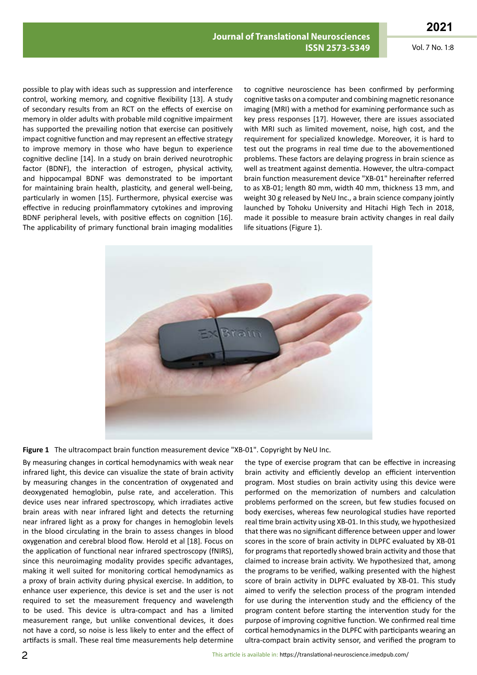possible to play with ideas such as suppression and interference control, working memory, and cognitive flexibility [13]. A study of secondary results from an RCT on the effects of exercise on memory in older adults with probable mild cognitive impairment has supported the prevailing notion that exercise can positively impact cognitive function and may represent an effective strategy to improve memory in those who have begun to experience cognitive decline [14]. In a study on brain derived neurotrophic factor (BDNF), the interaction of estrogen, physical activity, and hippocampal BDNF was demonstrated to be important for maintaining brain health, plasticity, and general well‐being, particularly in women [15]. Furthermore, physical exercise was effective in reducing proinflammatory cytokines and improving BDNF peripheral levels, with positive effects on cognition [16]. The applicability of primary functional brain imaging modalities

to cognitive neuroscience has been confirmed by performing cognitive tasks on a computer and combining magnetic resonance imaging (MRI) with a method for examining performance such as key press responses [17]. However, there are issues associated with MRI such as limited movement, noise, high cost, and the requirement for specialized knowledge. Moreover, it is hard to test out the programs in real time due to the abovementioned problems. These factors are delaying progress in brain science as well as treatment against dementia. However, the ultra-compact brain function measurement device "XB-01" hereinafter referred to as XB-01; length 80 mm, width 40 mm, thickness 13 mm, and weight 30 g released by NeU Inc., a brain science company jointly launched by Tohoku University and Hitachi High Tech in 2018, made it possible to measure brain activity changes in real daily life situations (Figure 1).



**Figure 1** The ultracompact brain function measurement device "XB-01". Copyright by NeU Inc.

By measuring changes in cortical hemodynamics with weak near infrared light, this device can visualize the state of brain activity by measuring changes in the concentration of oxygenated and deoxygenated hemoglobin, pulse rate, and acceleration. This device uses near infrared spectroscopy, which irradiates active brain areas with near infrared light and detects the returning near infrared light as a proxy for changes in hemoglobin levels in the blood circulating in the brain to assess changes in blood oxygenation and cerebral blood flow. Herold et al [18]. Focus on the application of functional near infrared spectroscopy (fNIRS), since this neuroimaging modality provides specific advantages, making it well suited for monitoring cortical hemodynamics as a proxy of brain activity during physical exercise. In addition, to enhance user experience, this device is set and the user is not required to set the measurement frequency and wavelength to be used. This device is ultra-compact and has a limited measurement range, but unlike conventional devices, it does not have a cord, so noise is less likely to enter and the effect of artifacts is small. These real time measurements help determine the type of exercise program that can be effective in increasing brain activity and efficiently develop an efficient intervention program. Most studies on brain activity using this device were performed on the memorization of numbers and calculation problems performed on the screen, but few studies focused on body exercises, whereas few neurological studies have reported real time brain activity using XB-01. In this study, we hypothesized that there was no significant difference between upper and lower scores in the score of brain activity in DLPFC evaluated by XB-01 for programs that reportedly showed brain activity and those that claimed to increase brain activity. We hypothesized that, among the programs to be verified, walking presented with the highest score of brain activity in DLPFC evaluated by XB-01. This study aimed to verify the selection process of the program intended for use during the intervention study and the efficiency of the program content before starting the intervention study for the purpose of improving cognitive function. We confirmed real time cortical hemodynamics in the DLPFC with participants wearing an ultra-compact brain activity sensor, and verified the program to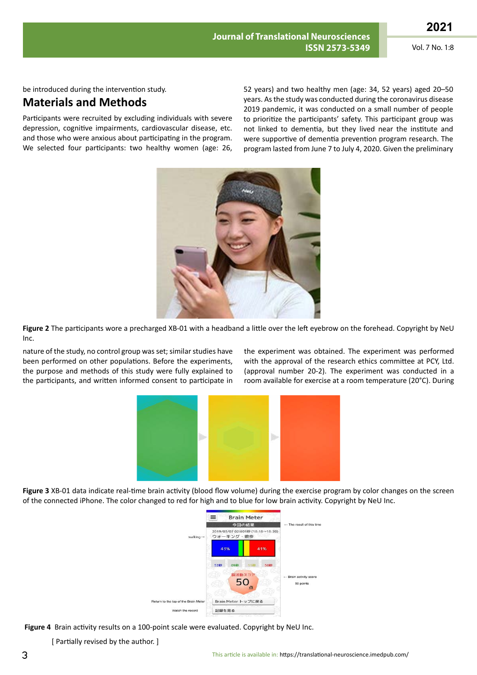be introduced during the intervention study.

### **Materials and Methods**

Participants were recruited by excluding individuals with severe depression, cognitive impairments, cardiovascular disease, etc. and those who were anxious about participating in the program. We selected four participants: two healthy women (age: 26, 52 years) and two healthy men (age: 34, 52 years) aged 20–50 years. As the study was conducted during the coronavirus disease 2019 pandemic, it was conducted on a small number of people to prioritize the participants' safety. This participant group was not linked to dementia, but they lived near the institute and were supportive of dementia prevention program research. The program lasted from June 7 to July 4, 2020. Given the preliminary



**Figure 2** The participants wore a precharged XB-01 with a headband a little over the left eyebrow on the forehead. Copyright by NeU Inc.

nature of the study, no control group was set; similar studies have been performed on other populations. Before the experiments, the purpose and methods of this study were fully explained to the participants, and written informed consent to participate in the experiment was obtained. The experiment was performed with the approval of the research ethics committee at PCY, Ltd. (approval number 20-2). The experiment was conducted in a room available for exercise at a room temperature (20°C). During



**Figure 3** XB-01 data indicate real-time brain activity (blood flow volume) during the exercise program by color changes on the screen of the connected iPhone. The color changed to red for high and to blue for low brain activity. Copyright by NeU Inc.



 **Figure 4** Brain activity results on a 100-point scale were evaluated. Copyright by NeU Inc.

[ Partially revised by the author. ]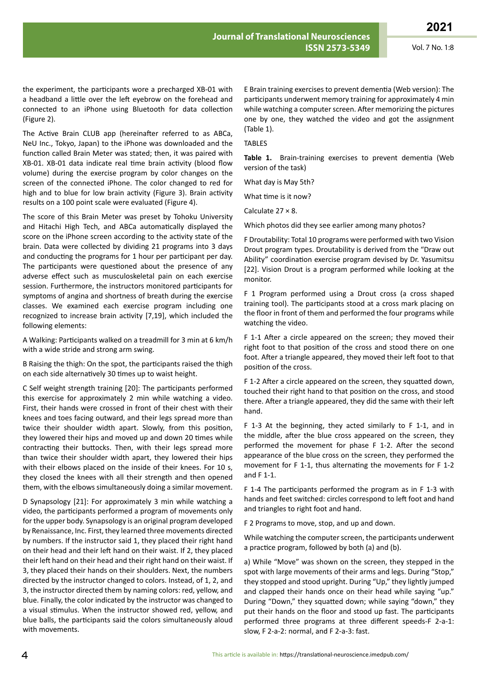the experiment, the participants wore a precharged XB-01 with a headband a little over the left eyebrow on the forehead and connected to an iPhone using Bluetooth for data collection (Figure 2).

The Active Brain CLUB app (hereinafter referred to as ABCa, NeU Inc., Tokyo, Japan) to the iPhone was downloaded and the function called Brain Meter was stated; then, it was paired with XB-01. XB-01 data indicate real time brain activity (blood flow volume) during the exercise program by color changes on the screen of the connected iPhone. The color changed to red for high and to blue for low brain activity (Figure 3). Brain activity results on a 100 point scale were evaluated (Figure 4).

The score of this Brain Meter was preset by Tohoku University and Hitachi High Tech, and ABCa automatically displayed the score on the iPhone screen according to the activity state of the brain. Data were collected by dividing 21 programs into 3 days and conducting the programs for 1 hour per participant per day. The participants were questioned about the presence of any adverse effect such as musculoskeletal pain on each exercise session. Furthermore, the instructors monitored participants for symptoms of angina and shortness of breath during the exercise classes. We examined each exercise program including one recognized to increase brain activity [7,19], which included the following elements:

A Walking: Participants walked on a treadmill for 3 min at 6 km/h with a wide stride and strong arm swing.

B Raising the thigh: On the spot, the participants raised the thigh on each side alternatively 30 times up to waist height.

C Self weight strength training [20]: The participants performed this exercise for approximately 2 min while watching a video. First, their hands were crossed in front of their chest with their knees and toes facing outward, and their legs spread more than twice their shoulder width apart. Slowly, from this position, they lowered their hips and moved up and down 20 times while contracting their buttocks. Then, with their legs spread more than twice their shoulder width apart, they lowered their hips with their elbows placed on the inside of their knees. For 10 s, they closed the knees with all their strength and then opened them, with the elbows simultaneously doing a similar movement.

D Synapsology [21]: For approximately 3 min while watching a video, the participants performed a program of movements only for the upper body. Synapsology is an original program developed by Renaissance, Inc. First, they learned three movements directed by numbers. If the instructor said 1, they placed their right hand on their head and their left hand on their waist. If 2, they placed their left hand on their head and their right hand on their waist. If 3, they placed their hands on their shoulders. Next, the numbers directed by the instructor changed to colors. Instead, of 1, 2, and 3, the instructor directed them by naming colors: red, yellow, and blue. Finally, the color indicated by the instructor was changed to a visual stimulus. When the instructor showed red, yellow, and blue balls, the participants said the colors simultaneously aloud with movements.

E Brain training exercises to prevent dementia (Web version): The participants underwent memory training for approximately 4 min while watching a computer screen. After memorizing the pictures one by one, they watched the video and got the assignment (Table 1).

TABLES

**Table 1.** Brain-training exercises to prevent dementia (Web version of the task)

What day is May 5th?

What time is it now?

Calculate 27 × 8.

Which photos did they see earlier among many photos?

F Droutability: Total 10 programs were performed with two Vision Drout program types. Droutability is derived from the "Draw out Ability" coordination exercise program devised by Dr. Yasumitsu [22]. Vision Drout is a program performed while looking at the monitor.

F 1 Program performed using a Drout cross (a cross shaped training tool). The participants stood at a cross mark placing on the floor in front of them and performed the four programs while watching the video.

F 1-1 After a circle appeared on the screen; they moved their right foot to that position of the cross and stood there on one foot. After a triangle appeared, they moved their left foot to that position of the cross.

F 1-2 After a circle appeared on the screen, they squatted down, touched their right hand to that position on the cross, and stood there. After a triangle appeared, they did the same with their left hand.

F 1-3 At the beginning, they acted similarly to F 1-1, and in the middle, after the blue cross appeared on the screen, they performed the movement for phase F 1-2. After the second appearance of the blue cross on the screen, they performed the movement for F 1-1, thus alternating the movements for F 1-2 and F 1-1.

F 1-4 The participants performed the program as in F 1-3 with hands and feet switched: circles correspond to left foot and hand and triangles to right foot and hand.

F 2 Programs to move, stop, and up and down.

While watching the computer screen, the participants underwent a practice program, followed by both (a) and (b).

a) While "Move" was shown on the screen, they stepped in the spot with large movements of their arms and legs. During "Stop," they stopped and stood upright. During "Up," they lightly jumped and clapped their hands once on their head while saying "up." During "Down," they squatted down; while saying "down," they put their hands on the floor and stood up fast. The participants performed three programs at three different speeds-F 2-a-1: slow, F 2-a-2: normal, and F 2-a-3: fast.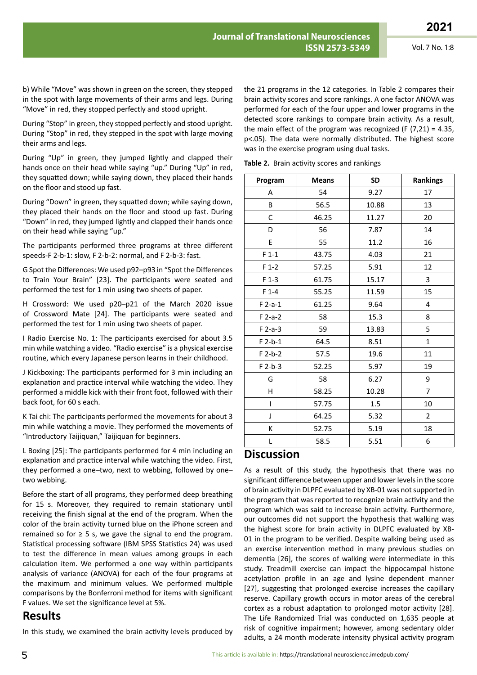b) While "Move" was shown in green on the screen, they stepped in the spot with large movements of their arms and legs. During "Move" in red, they stopped perfectly and stood upright.

During "Stop" in green, they stopped perfectly and stood upright. During "Stop" in red, they stepped in the spot with large moving their arms and legs.

During "Up" in green, they jumped lightly and clapped their hands once on their head while saying "up." During "Up" in red, they squatted down; while saying down, they placed their hands on the floor and stood up fast.

During "Down" in green, they squatted down; while saying down, they placed their hands on the floor and stood up fast. During "Down" in red, they jumped lightly and clapped their hands once on their head while saying "up."

The participants performed three programs at three different speeds-F 2-b-1: slow, F 2-b-2: normal, and F 2-b-3: fast.

G Spot the Differences: We used p92–p93 in "Spot the Differences to Train Your Brain" [23]. The participants were seated and performed the test for 1 min using two sheets of paper.

H Crossword: We used p20–p21 of the March 2020 issue of Crossword Mate [24]. The participants were seated and performed the test for 1 min using two sheets of paper.

I Radio Exercise No. 1: The participants exercised for about 3.5 min while watching a video. "Radio exercise" is a physical exercise routine, which every Japanese person learns in their childhood.

J Kickboxing: The participants performed for 3 min including an explanation and practice interval while watching the video. They performed a middle kick with their front foot, followed with their back foot, for 60 s each.

K Tai chi: The participants performed the movements for about 3 min while watching a movie. They performed the movements of "Introductory Taijiquan," Taijiquan for beginners.

L Boxing [25]: The participants performed for 4 min including an explanation and practice interval while watching the video. First, they performed a one–two, next to webbing, followed by one– two webbing.

Before the start of all programs, they performed deep breathing for 15 s. Moreover, they required to remain stationary until receiving the finish signal at the end of the program. When the color of the brain activity turned blue on the iPhone screen and remained so for  $\geq$  5 s, we gave the signal to end the program. Statistical processing software (IBM SPSS Statistics 24) was used to test the difference in mean values among groups in each calculation item. We performed a one way within participants analysis of variance (ANOVA) for each of the four programs at the maximum and minimum values. We performed multiple comparisons by the Bonferroni method for items with significant F values. We set the significance level at 5%.

### **Results**

In this study, we examined the brain activity levels produced by

the 21 programs in the 12 categories. In Table 2 compares their brain activity scores and score rankings. A one factor ANOVA was performed for each of the four upper and lower programs in the detected score rankings to compare brain activity. As a result, the main effect of the program was recognized (F  $(7,21) = 4.35$ , p<.05). The data were normally distributed. The highest score was in the exercise program using dual tasks.

|  |  |  | Table 2. Brain activity scores and rankings |  |
|--|--|--|---------------------------------------------|--|
|--|--|--|---------------------------------------------|--|

| Program   | <b>Means</b> | <b>SD</b> | <b>Rankings</b> |
|-----------|--------------|-----------|-----------------|
| A         | 54           | 9.27      | 17              |
| B         | 56.5         | 10.88     | 13              |
| C         | 46.25        | 11.27     | 20              |
| D         | 56           | 7.87      | 14              |
| E         | 55           | 11.2      | 16              |
| $F1-1$    | 43.75        | 4.03      | 21              |
| $F_1-2$   | 57.25        | 5.91      | 12              |
| $F$ 1-3   | 61.75        | 15.17     | 3               |
| $F$ 1-4   | 55.25        | 11.59     | 15              |
| $F$ 2-a-1 | 61.25        | 9.64      | 4               |
| $F 2-a-2$ | 58           | 15.3      | 8               |
| $F$ 2-a-3 | 59           | 13.83     | 5               |
| $F 2-b-1$ | 64.5         | 8.51      | $\mathbf{1}$    |
| $F 2-b-2$ | 57.5         | 19.6      | 11              |
| $F 2-b-3$ | 52.25        | 5.97      | 19              |
| G         | 58           | 6.27      | 9               |
| H         | 58.25        | 10.28     | $\overline{7}$  |
| T         | 57.75        | 1.5       | 10              |
| J         | 64.25        | 5.32      | $\overline{2}$  |
| К         | 52.75        | 5.19      | 18              |
| L         | 58.5         | 5.51      | 6               |

#### **Discussion**

As a result of this study, the hypothesis that there was no significant difference between upper and lower levels in the score of brain activity in DLPFC evaluated by XB-01 was not supported in the program that was reported to recognize brain activity and the program which was said to increase brain activity. Furthermore, our outcomes did not support the hypothesis that walking was the highest score for brain activity in DLPFC evaluated by XB-01 in the program to be verified. Despite walking being used as an exercise intervention method in many previous studies on dementia [26], the scores of walking were intermediate in this study. Treadmill exercise can impact the hippocampal histone acetylation profile in an age and lysine dependent manner [27], suggesting that prolonged exercise increases the capillary reserve. Capillary growth occurs in motor areas of the cerebral cortex as a robust adaptation to prolonged motor activity [28]. The Life Randomized Trial was conducted on 1,635 people at risk of cognitive impairment; however, among sedentary older adults, a 24 month moderate intensity physical activity program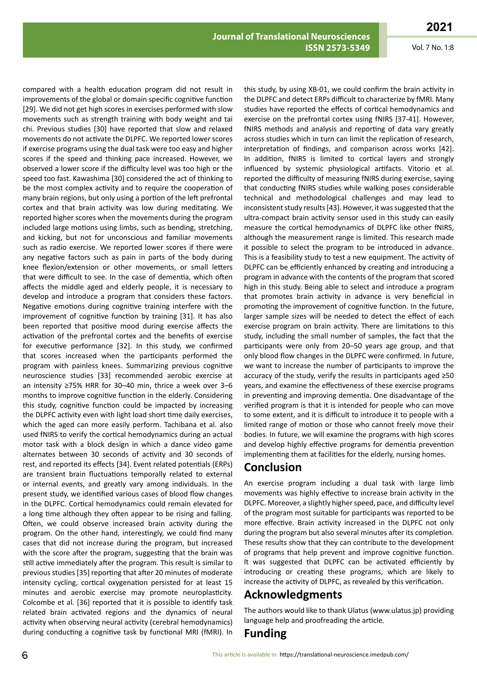compared with a health education program did not result in improvements of the global or domain specific cognitive function [29]. We did not get high scores in exercises performed with slow movements such as strength training with body weight and tai chi. Previous studies [30] have reported that slow and relaxed movements do not activate the DLPFC. We reported lower scores if exercise programs using the dual task were too easy and higher scores if the speed and thinking pace increased. However, we observed a lower score if the difficulty level was too high or the speed too fast. Kawashima [30] considered the act of thinking to be the most complex activity and to require the cooperation of many brain regions, but only using a portion of the left prefrontal cortex and that brain activity was low during meditating. We reported higher scores when the movements during the program included large motions using limbs, such as bending, stretching, and kicking, but not for unconscious and familiar movements such as radio exercise. We reported lower scores if there were any negative factors such as pain in parts of the body during knee flexion/extension or other movements, or small letters that were difficult to see. In the case of dementia, which often affects the middle aged and elderly people, it is necessary to develop and introduce a program that considers these factors. Negative emotions during cognitive training interfere with the improvement of cognitive function by training [31]. It has also been reported that positive mood during exercise affects the activation of the prefrontal cortex and the benefits of exercise for executive performance [32]. In this study, we confirmed that scores increased when the participants performed the program with painless knees. Summarizing previous cognitive neuroscience studies [33] recommended aerobic exercise at an intensity ≥75% HRR for 30–40 min, thrice a week over 3–6 months to improve cognitive function in the elderly. Considering this study, cognitive function could be impacted by increasing the DLPFC activity even with light load short time daily exercises, which the aged can more easily perform. Tachibana et al. also used fNIRS to verify the cortical hemodynamics during an actual motor task with a block design in which a dance video game alternates between 30 seconds of activity and 30 seconds of rest, and reported its effects [34]. Event related potentials (ERPs) are transient brain fluctuations temporally related to external or internal events, and greatly vary among individuals. In the present study, we identified various cases of blood flow changes in the DLPFC. Cortical hemodynamics could remain elevated for a long time although they often appear to be rising and falling. Often, we could observe increased brain activity during the program. On the other hand, interestingly, we could find many cases that did not increase during the program, but increased with the score after the program, suggesting that the brain was still active immediately after the program. This result is similar to previous studies [35] reporting that after 20 minutes of moderate intensity cycling, cortical oxygenation persisted for at least 15 minutes and aerobic exercise may promote neuroplasticity. Colcombe et al. [36] reported that it is possible to identify task related brain activated regions and the dynamics of neural activity when observing neural activity (cerebral hemodynamics) during conducting a cognitive task by functional MRI (fMRI). In

this study, by using XB-01, we could confirm the brain activity in the DLPFC and detect ERPs difficult to characterize by fMRI. Many studies have reported the effects of cortical hemodynamics and exercise on the prefrontal cortex using fNIRS [37-41]. However, fNIRS methods and analysis and reporting of data vary greatly across studies which in turn can limit the replication of research, interpretation of findings, and comparison across works [42]. In addition, fNIRS is limited to cortical layers and strongly influenced by systemic physiological artifacts. Vitorio et al. reported the difficulty of measuring fNIRS during exercise, saying that conducting fNIRS studies while walking poses considerable technical and methodological challenges and may lead to inconsistent study results [43]. However, it was suggested that the ultra-compact brain activity sensor used in this study can easily measure the cortical hemodynamics of DLPFC like other fNIRS, although the measurement range is limited. This research made it possible to select the program to be introduced in advance. This is a feasibility study to test a new equipment. The activity of DLPFC can be efficiently enhanced by creating and introducing a program in advance with the contents of the program that scored high in this study. Being able to select and introduce a program that promotes brain activity in advance is very beneficial in promoting the improvement of cognitive function. In the future, larger sample sizes will be needed to detect the effect of each exercise program on brain activity. There are limitations to this study, including the small number of samples, the fact that the participants were only from 20–50 years age group, and that only blood flow changes in the DLPFC were confirmed. In future, we want to increase the number of participants to improve the accuracy of the study, verify the results in participants aged ≥50 years, and examine the effectiveness of these exercise programs in preventing and improving dementia. One disadvantage of the verified program is that it is intended for people who can move to some extent, and it is difficult to introduce it to people with a limited range of motion or those who cannot freely move their bodies. In future, we will examine the programs with high scores and develop highly effective programs for dementia prevention implementing them at facilities for the elderly, nursing homes.

### **Conclusion**

An exercise program including a dual task with large limb movements was highly effective to increase brain activity in the DLPFC. Moreover, a slightly higher speed, pace, and difficulty level of the program most suitable for participants was reported to be more effective. Brain activity increased in the DLPFC not only during the program but also several minutes after its completion. These results show that they can contribute to the development of programs that help prevent and improve cognitive function. It was suggested that DLPFC can be activated efficiently by introducing or creating these programs, which are likely to increase the activity of DLPFC, as revealed by this verification.

### **Acknowledgments**

The authors would like to thank Ulatus (www.ulatus.jp) providing language help and proofreading the article.

## **Funding**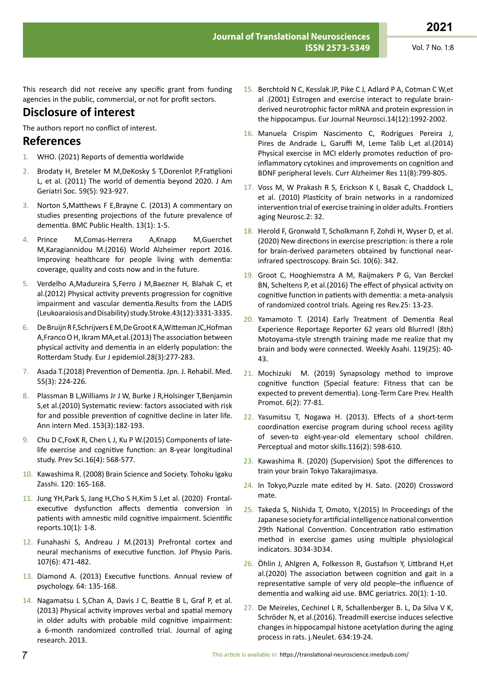This research did not receive any specific grant from funding agencies in the public, commercial, or not for profit sectors.

### **Disclosure of interest**

The authors report no conflict of interest.

#### **References**

- 1. WHO. (2021) Reports of dementia worldwide
- 2. Brodaty H, Breteler M M,DeKosky S T,Dorenlot P,Fratiglioni L, et al. (2011) The world of dementia beyond 2020. J Am Geriatri Soc. 59(5): 923-927.
- 3. Norton S,Matthews F E,Brayne C. (2013) A commentary on studies presenting projections of the future prevalence of dementia. BMC Public Health. 13(1): 1-5.
- 4. Prince M,Comas-Herrera A,Knapp M,Guerchet M,Karagiannidou M.(2016) World Alzheimer report 2016. Improving healthcare for people living with dementia: coverage, quality and costs now and in the future.
- 5. Verdelho A,Madureira S,Ferro J M,Baezner H, Blahak C, et al.(2012) Physical activity prevents progression for cognitive impairment and vascular dementia.Results from the LADIS (Leukoaraiosis and Disability) study.Stroke.43(12):3331-3335.
- 6. De Bruijn R F,Schrijvers E M,De Groot K A,Witteman JC,Hofman A,Franco O H, Ikram MA,et al.(2013) The association between physical activity and dementia in an elderly population: the Rotterdam Study. Eur J epidemiol.28(3):277-283.
- 7. Asada T.(2018) Prevention of Dementia. Jpn. J. Rehabil. Med. 55(3): 224-226.
- 8. Plassman B L,Williams Jr J W, Burke J R,Holsinger T,Benjamin S,et al.(2010) Systematic review: factors associated with risk for and possible prevention of cognitive decline in later life. Ann intern Med. 153(3):182-193.
- 9. Chu D C,FoxK R, Chen L J, Ku P W.(2015) Components of latelife exercise and cognitive function: an 8-year longitudinal study. Prev Sci.16(4): 568-577.
- 10. Kawashima R. (2008) Brain Science and Society. Tohoku Igaku Zasshi. 120: 165-168.
- 11. Jung YH,Park S, Jang H,Cho S H,Kim S J,et al. (2020) Frontalexecutive dysfunction affects dementia conversion in patients with amnestic mild cognitive impairment. Scientific reports.10(1): 1-8.
- 12. Funahashi S, Andreau J M.(2013) Prefrontal cortex and neural mechanisms of executive function. Jof Physio Paris. 107(6): 471-482.
- 13. Diamond A. (2013) Executive functions. Annual review of psychology. 64: 135-168.
- 14. Nagamatsu L S,Chan A, Davis J C, Beattie B L, Graf P, et al. (2013) Physical activity improves verbal and spatial memory in older adults with probable mild cognitive impairment: a 6-month randomized controlled trial. Journal of aging research. 2013.
- 15. Berchtold N C, Kesslak JP, Pike C J, Adlard P A, Cotman C W,et al .(2001) Estrogen and exercise interact to regulate brain‐ derived neurotrophic factor mRNA and protein expression in the hippocampus. Eur Journal Neurosci.14(12):1992-2002.
- 16. Manuela Crispim Nascimento C, Rodrigues Pereira J, Pires de Andrade L, Garuffi M, Leme Talib L,et al.(2014) Physical exercise in MCI elderly promotes reduction of proinflammatory cytokines and improvements on cognition and BDNF peripheral levels. Curr Alzheimer Res 11(8):799-805.
- 17. Voss M, W Prakash R S, Erickson K I, Basak C, Chaddock L, et al. (2010) Plasticity of brain networks in a randomized intervention trial of exercise training in older adults. Frontiers aging Neurosc.2: 32.
- 18. Herold F, Gronwald T, Scholkmann F, Zohdi H, Wyser D, et al. (2020) New directions in exercise prescription: is there a role for brain-derived parameters obtained by functional nearinfrared spectroscopy. Brain Sci. 10(6): 342.
- 19. Groot C, Hooghiemstra A M, Raijmakers P G, Van Berckel BN, Scheltens P, et al.(2016) The effect of physical activity on cognitive function in patients with dementia: a meta-analysis of randomized control trials. Ageing res Rev.25: 13-23.
- 20. Yamamoto T. (2014) Early Treatment of Dementia Real Experience Reportage Reporter 62 years old Blurred! (8th) Motoyama-style strength training made me realize that my brain and body were connected. Weekly Asahi. 119(25): 40- 43.
- 21. Mochizuki M. (2019) Synapsology method to improve cognitive function (Special feature: Fitness that can be expected to prevent dementia). Long-Term Care Prev. Health Promot. 6(2): 77-81.
- 22. Yasumitsu T, Nogawa H. (2013). Effects of a short-term coordination exercise program during school recess agility of seven-to eight-year-old elementary school children. Perceptual and motor skills.116(2): 598-610.
- 23. Kawashima R. (2020) (Supervision) Spot the differences to train your brain Tokyo Takarajimasya.
- 24. In Tokyo,Puzzle mate edited by H. Sato. (2020) Crossword mate.
- 25. Takeda S, Nishida T, Omoto, Y.(2015) In Proceedings of the Japanese society for artificial intelligence national convention 29th National Convention. Concentration ratio estimation method in exercise games using multiple physiological indicators. 3D34-3D34.
- 26. Öhlin J, Ahlgren A, Folkesson R, Gustafson Y, Littbrand H,et al.(2020) The association between cognition and gait in a representative sample of very old people–the influence of dementia and walking aid use. BMC geriatrics. 20(1): 1-10.
- 27. De Meireles, Cechinel L R, Schallenberger B. L, Da Silva V K, Schröder N, et al.(2016). Treadmill exercise induces selective changes in hippocampal histone acetylation during the aging process in rats. j.Neulet. 634:19-24.